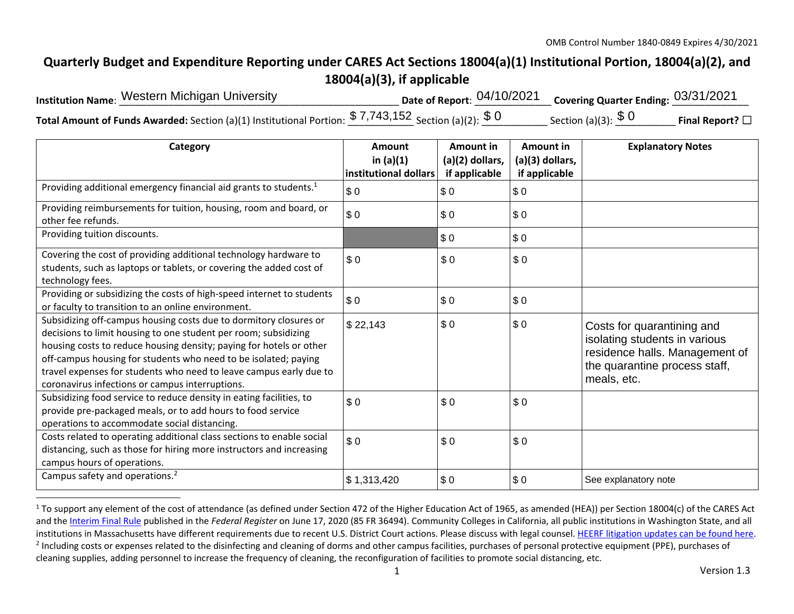## **Quarterly Budget and Expenditure Reporting under CARES Act Sections 18004(a)(1) Institutional Portion, 18004(a)(2), and 18004(a)(3), if applicable**

| <b>Institution Name: Western Michigan University</b>                                                          | Date of Report: $04/10/2021$ Covering Quarter Ending: $03/31/2021$ |                      |                 |
|---------------------------------------------------------------------------------------------------------------|--------------------------------------------------------------------|----------------------|-----------------|
| <b>Total Amount of Funds Awarded:</b> Section (a)(1) Institutional Portion: $$7,743,152$ Section (a)(2): $$0$ |                                                                    | Section (a)(3): $$0$ | Final Report? □ |

| Category                                                                                                                                                                                                                                                                                                                                                                                                | Amount<br>in $(a)(1)$<br>institutional dollars | Amount in<br>(a)(2) dollars,<br>if applicable | Amount in<br>(a)(3) dollars,<br>if applicable | <b>Explanatory Notes</b>                                                                                                                      |
|---------------------------------------------------------------------------------------------------------------------------------------------------------------------------------------------------------------------------------------------------------------------------------------------------------------------------------------------------------------------------------------------------------|------------------------------------------------|-----------------------------------------------|-----------------------------------------------|-----------------------------------------------------------------------------------------------------------------------------------------------|
| Providing additional emergency financial aid grants to students. <sup>1</sup>                                                                                                                                                                                                                                                                                                                           | \$0                                            | \$0                                           | \$0                                           |                                                                                                                                               |
| Providing reimbursements for tuition, housing, room and board, or<br>other fee refunds.                                                                                                                                                                                                                                                                                                                 | \$0                                            | \$0                                           | \$0                                           |                                                                                                                                               |
| Providing tuition discounts.                                                                                                                                                                                                                                                                                                                                                                            |                                                | \$0                                           | \$0                                           |                                                                                                                                               |
| Covering the cost of providing additional technology hardware to<br>students, such as laptops or tablets, or covering the added cost of<br>technology fees.                                                                                                                                                                                                                                             | \$0                                            | \$0                                           | \$0                                           |                                                                                                                                               |
| Providing or subsidizing the costs of high-speed internet to students<br>or faculty to transition to an online environment.                                                                                                                                                                                                                                                                             | \$0                                            | \$0                                           | \$0                                           |                                                                                                                                               |
| Subsidizing off-campus housing costs due to dormitory closures or<br>decisions to limit housing to one student per room; subsidizing<br>housing costs to reduce housing density; paying for hotels or other<br>off-campus housing for students who need to be isolated; paying<br>travel expenses for students who need to leave campus early due to<br>coronavirus infections or campus interruptions. | \$22,143                                       | \$0                                           | \$0                                           | Costs for quarantining and<br>isolating students in various<br>residence halls. Management of<br>the quarantine process staff,<br>meals, etc. |
| Subsidizing food service to reduce density in eating facilities, to<br>provide pre-packaged meals, or to add hours to food service<br>operations to accommodate social distancing.                                                                                                                                                                                                                      | \$0                                            | \$0                                           | \$0                                           |                                                                                                                                               |
| Costs related to operating additional class sections to enable social<br>distancing, such as those for hiring more instructors and increasing<br>campus hours of operations.                                                                                                                                                                                                                            | \$0                                            | \$0                                           | \$0                                           |                                                                                                                                               |
| Campus safety and operations. <sup>2</sup>                                                                                                                                                                                                                                                                                                                                                              | \$1,313,420                                    | \$0                                           | \$0                                           | See explanatory note                                                                                                                          |

 $1$  To support any element of the cost of attendance (as defined under Section 472 of the Higher Education Act of 1965, as amended (HEA)) per Section 18004(c) of the CARES Act and the Interim Final Rule published in the *Federal Register* on June 17, 2020 (85 FR 36494). Community Colleges in California, all public institutions in Washington State, and all institutions in Massachusetts have different requirements due to recent U.S. District Court actions. Please discuss with legal counsel. HEERF litigation updates can be found here. <sup>2</sup> Including costs or expenses related to the disinfecting and cleaning of dorms and other campus facilities, purchases of personal protective equipment (PPE), purchases of cleaning supplies, adding personnel to increase the frequency of cleaning, the reconfiguration of facilities to promote social distancing, etc.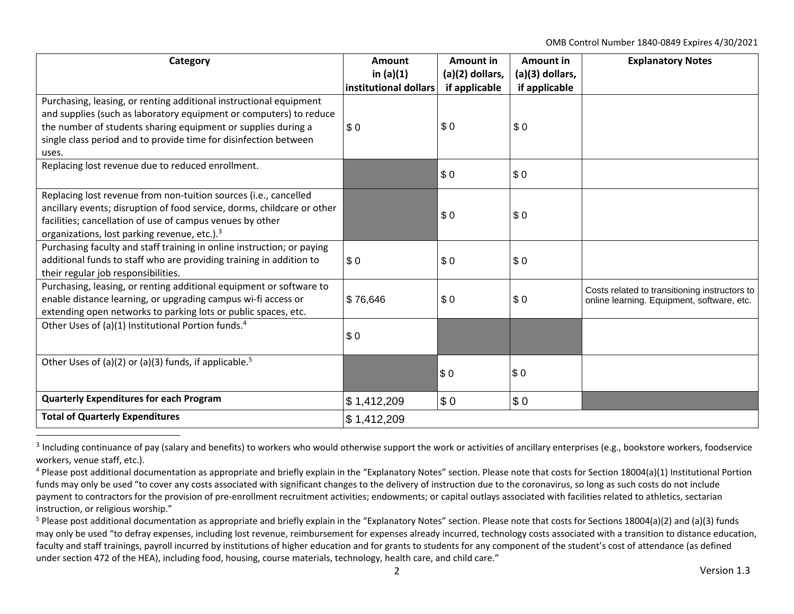OMB Control Number 1840‐0849 Expires 4/30/2021

| Category                                                                                                                                                                                                                                                                               | Amount<br>in $(a)(1)$<br>institutional dollars | Amount in<br>$(a)(2)$ dollars,<br>if applicable | Amount in<br>(a)(3) dollars,<br>if applicable | <b>Explanatory Notes</b>                                                                    |
|----------------------------------------------------------------------------------------------------------------------------------------------------------------------------------------------------------------------------------------------------------------------------------------|------------------------------------------------|-------------------------------------------------|-----------------------------------------------|---------------------------------------------------------------------------------------------|
| Purchasing, leasing, or renting additional instructional equipment<br>and supplies (such as laboratory equipment or computers) to reduce<br>the number of students sharing equipment or supplies during a<br>single class period and to provide time for disinfection between<br>uses. | \$0                                            | \$0                                             | \$0                                           |                                                                                             |
| Replacing lost revenue due to reduced enrollment.                                                                                                                                                                                                                                      |                                                | \$0                                             | \$0                                           |                                                                                             |
| Replacing lost revenue from non-tuition sources (i.e., cancelled<br>ancillary events; disruption of food service, dorms, childcare or other<br>facilities; cancellation of use of campus venues by other<br>organizations, lost parking revenue, etc.). <sup>3</sup>                   |                                                | \$0                                             | \$0                                           |                                                                                             |
| Purchasing faculty and staff training in online instruction; or paying<br>additional funds to staff who are providing training in addition to<br>their regular job responsibilities.                                                                                                   | \$0                                            | \$0                                             | \$0                                           |                                                                                             |
| Purchasing, leasing, or renting additional equipment or software to<br>enable distance learning, or upgrading campus wi-fi access or<br>extending open networks to parking lots or public spaces, etc.                                                                                 | \$76,646                                       | \$0                                             | \$0                                           | Costs related to transitioning instructors to<br>online learning. Equipment, software, etc. |
| Other Uses of (a)(1) Institutional Portion funds. <sup>4</sup>                                                                                                                                                                                                                         | \$0                                            |                                                 |                                               |                                                                                             |
| Other Uses of (a)(2) or (a)(3) funds, if applicable. <sup>5</sup>                                                                                                                                                                                                                      |                                                | \$0                                             | \$0                                           |                                                                                             |
| <b>Quarterly Expenditures for each Program</b>                                                                                                                                                                                                                                         | \$1,412,209                                    | \$0                                             | \$0                                           |                                                                                             |
| <b>Total of Quarterly Expenditures</b>                                                                                                                                                                                                                                                 | \$1,412,209                                    |                                                 |                                               |                                                                                             |

 $3$  Including continuance of pay (salary and benefits) to workers who would otherwise support the work or activities of ancillary enterprises (e.g., bookstore workers, foodservice workers, venue staff, etc.).

<sup>&</sup>lt;sup>4</sup> Please post additional documentation as appropriate and briefly explain in the "Explanatory Notes" section. Please note that costs for Section 18004(a)(1) Institutional Portion funds may only be used "to cover any costs associated with significant changes to the delivery of instruction due to the coronavirus, so long as such costs do not include payment to contractors for the provision of pre-enrollment recruitment activities; endowments; or capital outlays associated with facilities related to athletics, sectarian instruction, or religious worship."

<sup>&</sup>lt;sup>5</sup> Please post additional documentation as appropriate and briefly explain in the "Explanatory Notes" section. Please note that costs for Sections 18004(a)(2) and (a)(3) funds may only be used "to defray expenses, including lost revenue, reimbursement for expenses already incurred, technology costs associated with a transition to distance education, faculty and staff trainings, payroll incurred by institutions of higher education and for grants to students for any component of the student's cost of attendance (as defined under section 472 of the HEA), including food, housing, course materials, technology, health care, and child care."